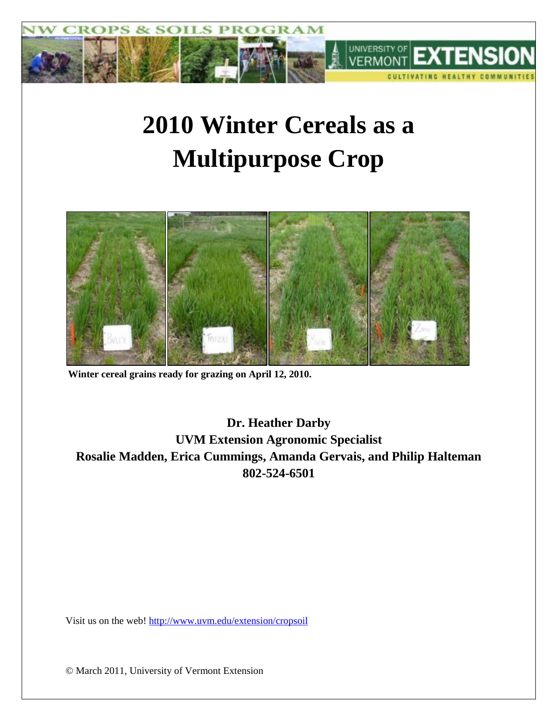

# **2010 Winter Cereals as a Multipurpose Crop**



**Winter cereal grains ready for grazing on April 12, 2010.** 

**Dr. Heather Darby UVM Extension Agronomic Specialist Rosalie Madden, Erica Cummings, Amanda Gervais, and Philip Halteman 802-524-6501**

Visit us on the web!<http://www.uvm.edu/extension/cropsoil>

© March 2011, University of Vermont Extension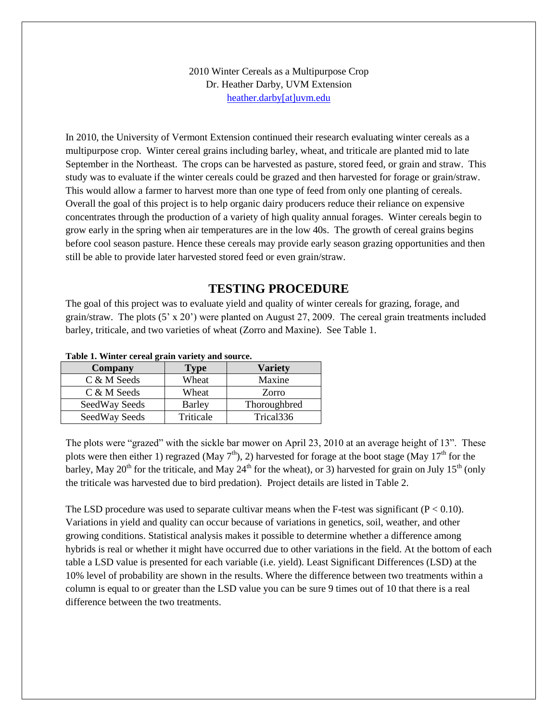#### 2010 Winter Cereals as a Multipurpose Crop Dr. Heather Darby, UVM Extension [heather.darby\[at\]uvm.edu](mailto:hdarby@uvm.edu?subject=Winter%20Cereals%20as%20a%20Multipurpose%20Crop)

In 2010, the University of Vermont Extension continued their research evaluating winter cereals as a multipurpose crop. Winter cereal grains including barley, wheat, and triticale are planted mid to late September in the Northeast. The crops can be harvested as pasture, stored feed, or grain and straw. This study was to evaluate if the winter cereals could be grazed and then harvested for forage or grain/straw. This would allow a farmer to harvest more than one type of feed from only one planting of cereals. Overall the goal of this project is to help organic dairy producers reduce their reliance on expensive concentrates through the production of a variety of high quality annual forages. Winter cereals begin to grow early in the spring when air temperatures are in the low 40s. The growth of cereal grains begins before cool season pasture. Hence these cereals may provide early season grazing opportunities and then still be able to provide later harvested stored feed or even grain/straw.

#### **TESTING PROCEDURE**

The goal of this project was to evaluate yield and quality of winter cereals for grazing, forage, and grain/straw. The plots  $(5 \times 20)$  were planted on August 27, 2009. The cereal grain treatments included barley, triticale, and two varieties of wheat (Zorro and Maxine). See Table 1.

| Company       | <b>Type</b>   | <b>Variety</b> |
|---------------|---------------|----------------|
| C & M Seeds   | Wheat         | Maxine         |
| C & M Seeds   | Wheat         | Zorro          |
| SeedWay Seeds | <b>Barley</b> | Thoroughbred   |
| SeedWay Seeds | Triticale     | Trical336      |

| Table 1. Winter cereal grain variety and source. |  |  |  |
|--------------------------------------------------|--|--|--|
|                                                  |  |  |  |

The plots were "grazed" with the sickle bar mower on April 23, 2010 at an average height of 13". These plots were then either 1) regrazed (May  $7<sup>th</sup>$ ), 2) harvested for forage at the boot stage (May 17<sup>th</sup> for the barley, May 20<sup>th</sup> for the triticale, and May 24<sup>th</sup> for the wheat), or 3) harvested for grain on July 15<sup>th</sup> (only the triticale was harvested due to bird predation). Project details are listed in Table 2.

The LSD procedure was used to separate cultivar means when the F-test was significant ( $P < 0.10$ ). Variations in yield and quality can occur because of variations in genetics, soil, weather, and other growing conditions. Statistical analysis makes it possible to determine whether a difference among hybrids is real or whether it might have occurred due to other variations in the field. At the bottom of each table a LSD value is presented for each variable (i.e. yield). Least Significant Differences (LSD) at the 10% level of probability are shown in the results. Where the difference between two treatments within a column is equal to or greater than the LSD value you can be sure 9 times out of 10 that there is a real difference between the two treatments.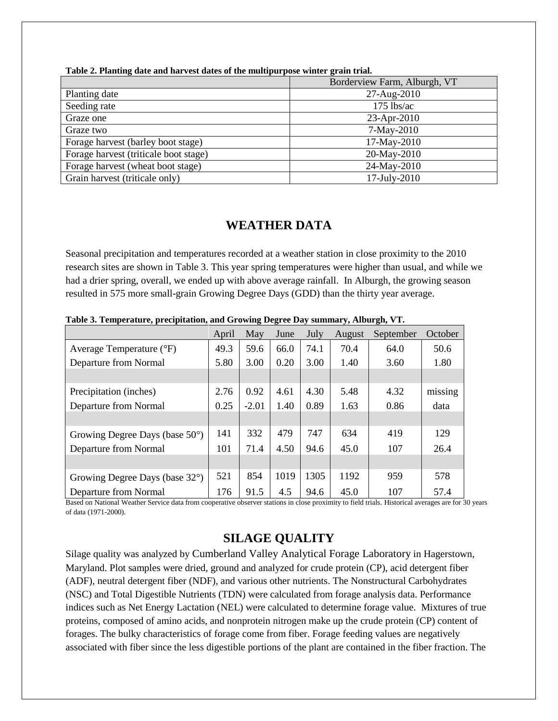| Tubic 2. I landing date and har rest dates of the manapurpose whiter grain trian |                              |
|----------------------------------------------------------------------------------|------------------------------|
|                                                                                  | Borderview Farm, Alburgh, VT |
| Planting date                                                                    | 27-Aug-2010                  |
| Seeding rate                                                                     | $175$ lbs/ac                 |
| Graze one                                                                        | 23-Apr-2010                  |
| Graze two                                                                        | $7-May-2010$                 |
| Forage harvest (barley boot stage)                                               | 17-May-2010                  |
| Forage harvest (triticale boot stage)                                            | 20-May-2010                  |
| Forage harvest (wheat boot stage)                                                | 24-May-2010                  |
| Grain harvest (triticale only)                                                   | 17-July-2010                 |

**Table 2. Planting date and harvest dates of the multipurpose winter grain trial.**

## **WEATHER DATA**

Seasonal precipitation and temperatures recorded at a weather station in close proximity to the 2010 research sites are shown in Table 3. This year spring temperatures were higher than usual, and while we had a drier spring, overall, we ended up with above average rainfall. In Alburgh, the growing season resulted in 575 more small-grain Growing Degree Days (GDD) than the thirty year average.

|                                          | April | May     | June | July | August | September | October |
|------------------------------------------|-------|---------|------|------|--------|-----------|---------|
| Average Temperature $({}^{\circ}F)$      | 49.3  | 59.6    | 66.0 | 74.1 | 70.4   | 64.0      | 50.6    |
| Departure from Normal                    | 5.80  | 3.00    | 0.20 | 3.00 | 1.40   | 3.60      | 1.80    |
|                                          |       |         |      |      |        |           |         |
| Precipitation (inches)                   | 2.76  | 0.92    | 4.61 | 4.30 | 5.48   | 4.32      | missing |
| Departure from Normal                    | 0.25  | $-2.01$ | 1.40 | 0.89 | 1.63   | 0.86      | data    |
|                                          |       |         |      |      |        |           |         |
| Growing Degree Days (base $50^{\circ}$ ) | 141   | 332     | 479  | 747  | 634    | 419       | 129     |
| Departure from Normal                    | 101   | 71.4    | 4.50 | 94.6 | 45.0   | 107       | 26.4    |
|                                          |       |         |      |      |        |           |         |
| Growing Degree Days (base 32°)           | 521   | 854     | 1019 | 1305 | 1192   | 959       | 578     |
| Departure from Normal                    | 176   | 91.5    | 4.5  | 94.6 | 45.0   | 107       | 57.4    |

**Table 3. Temperature, precipitation, and Growing Degree Day summary, Alburgh, VT.**

Based on National Weather Service data from cooperative observer stations in close proximity to field trials. Historical averages are for 30 years of data (1971-2000).

## **SILAGE QUALITY**

Silage quality was analyzed by Cumberland Valley Analytical Forage Laboratory in Hagerstown, Maryland. Plot samples were dried, ground and analyzed for crude protein (CP), acid detergent fiber (ADF), neutral detergent fiber (NDF), and various other nutrients. The Nonstructural Carbohydrates (NSC) and Total Digestible Nutrients (TDN) were calculated from forage analysis data. Performance indices such as Net Energy Lactation (NEL) were calculated to determine forage value. Mixtures of true proteins, composed of amino acids, and nonprotein nitrogen make up the crude protein (CP) content of forages. The bulky characteristics of forage come from fiber. Forage feeding values are negatively associated with fiber since the less digestible portions of the plant are contained in the fiber fraction. The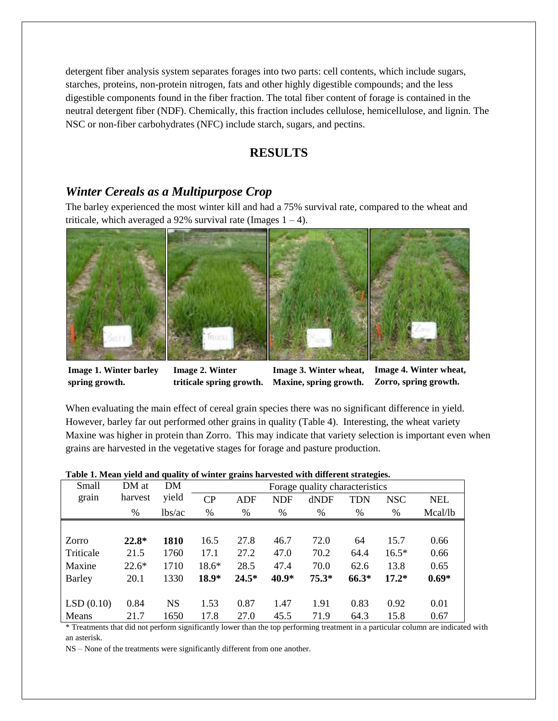detergent fiber analysis system separates forages into two parts: cell contents, which include sugars, starches, proteins, non-protein nitrogen, fats and other highly digestible compounds; and the less digestible components found in the fiber fraction. The total fiber content of forage is contained in the neutral detergent fiber (NDF). Chemically, this fraction includes cellulose, hemicellulose, and lignin. The NSC or non-fiber carbohydrates (NFC) include starch, sugars, and pectins.

#### **RESULTS**

## *Winter Cereals as a Multipurpose Crop*

The barley experienced the most winter kill and had a 75% survival rate, compared to the wheat and triticale, which averaged a 92% survival rate (Images  $1 - 4$ ).



**Image 1. Winter barley spring growth.**

**Image 2. Winter triticale spring growth.**

**Image 3. Winter wheat, Maxine, spring growth.**

**Image 4. Winter wheat, Zorro, spring growth.**

When evaluating the main effect of cereal grain species there was no significant difference in yield. However, barley far out performed other grains in quality (Table 4). Interesting, the wheat variety Maxine was higher in protein than Zorro. This may indicate that variety selection is important even when grains are harvested in the vegetative stages for forage and pasture production.

| Small     | DM at   | DM        |         | $\overline{\phantom{a}}$ |            | Forage quality characteristics |         |            |            |
|-----------|---------|-----------|---------|--------------------------|------------|--------------------------------|---------|------------|------------|
| grain     | harvest | yield     | CP      | ADF                      | <b>NDF</b> | dNDF                           | TDN     | <b>NSC</b> | <b>NEL</b> |
|           | $\%$    | lbs/ac    | %       | %                        | $\%$       | $\%$                           | $\%$    | $\%$       | Mcal/lb    |
|           |         |           |         |                          |            |                                |         |            |            |
| Zorro     | $22.8*$ | 1810      | 16.5    | 27.8                     | 46.7       | 72.0                           | 64      | 15.7       | 0.66       |
| Triticale | 21.5    | 1760      | 17.1    | 27.2                     | 47.0       | 70.2                           | 64.4    | $16.5*$    | 0.66       |
| Maxine    | $22.6*$ | 1710      | $18.6*$ | 28.5                     | 47.4       | 70.0                           | 62.6    | 13.8       | 0.65       |
| Barley    | 20.1    | 1330      | $18.9*$ | $24.5*$                  | 40.9*      | $75.3*$                        | $66.3*$ | $17.2*$    | $0.69*$    |
|           |         |           |         |                          |            |                                |         |            |            |
| LSD(0.10) | 0.84    | <b>NS</b> | 1.53    | 0.87                     | 1.47       | 1.91                           | 0.83    | 0.92       | 0.01       |
| Means     | 21.7    | 1650      | 17.8    | 27.0                     | 45.5       | 71.9                           | 64.3    | 15.8       | 0.67       |

**Table 1. Mean yield and quality of winter grains harvested with different strategies.**

\* Treatments that did not perform significantly lower than the top performing treatment in a particular column are indicated with an asterisk.

NS – None of the treatments were significantly different from one another.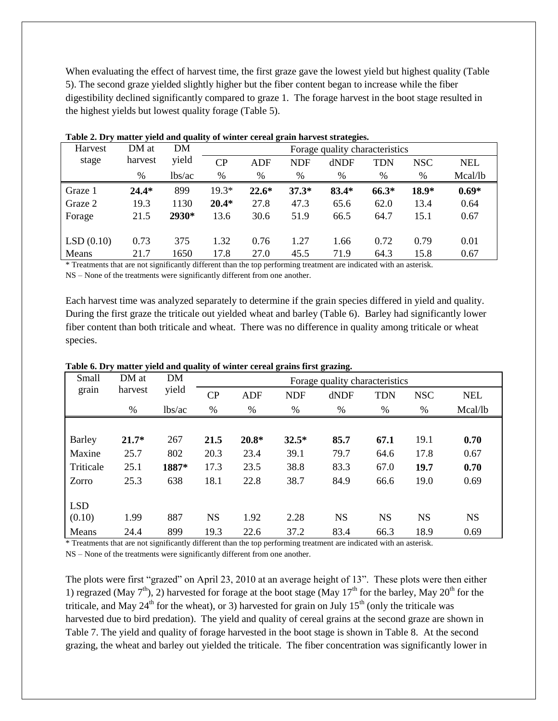When evaluating the effect of harvest time, the first graze gave the lowest yield but highest quality (Table 5). The second graze yielded slightly higher but the fiber content began to increase while the fiber digestibility declined significantly compared to graze 1. The forage harvest in the boot stage resulted in the highest yields but lowest quality forage (Table 5).

| Harvest   | DM at   | DM     | Forage quality characteristics |            |         |         |         |            |            |  |  |  |
|-----------|---------|--------|--------------------------------|------------|---------|---------|---------|------------|------------|--|--|--|
| stage     | harvest | yield  | $\rm CP$                       | <b>ADF</b> | NDF     | dNDF    | TDN     | <b>NSC</b> | <b>NEL</b> |  |  |  |
|           | %       | lbs/ac | %                              | $\%$       | %       | %       | $\%$    | $\%$       | Mcal/lb    |  |  |  |
| Graze 1   | $24.4*$ | 899    | $19.3*$                        | $22.6*$    | $37.3*$ | $83.4*$ | $66.3*$ | $18.9*$    | $0.69*$    |  |  |  |
| Graze 2   | 19.3    | 1130   | $20.4*$                        | 27.8       | 47.3    | 65.6    | 62.0    | 13.4       | 0.64       |  |  |  |
| Forage    | 21.5    | 2930*  | 13.6                           | 30.6       | 51.9    | 66.5    | 64.7    | 15.1       | 0.67       |  |  |  |
|           |         |        |                                |            |         |         |         |            |            |  |  |  |
| LSD(0.10) | 0.73    | 375    | 1.32                           | 0.76       | 1.27    | 1.66    | 0.72    | 0.79       | 0.01       |  |  |  |
| Means     | 21.7    | 1650   | 17.8                           | 27.0       | 45.5    | 71.9    | 64.3    | 15.8       | 0.67       |  |  |  |

|  |  |  |  |  |  | Table 2. Dry matter yield and quality of winter cereal grain harvest strategies. |
|--|--|--|--|--|--|----------------------------------------------------------------------------------|
|--|--|--|--|--|--|----------------------------------------------------------------------------------|

\* Treatments that are not significantly different than the top performing treatment are indicated with an asterisk.

NS – None of the treatments were significantly different from one another.

Each harvest time was analyzed separately to determine if the grain species differed in yield and quality. During the first graze the triticale out yielded wheat and barley (Table 6). Barley had significantly lower fiber content than both triticale and wheat. There was no difference in quality among triticale or wheat species.

| Small      | DM at   | DM     | Forage quality characteristics |            |            |           |            |            |            |  |  |  |
|------------|---------|--------|--------------------------------|------------|------------|-----------|------------|------------|------------|--|--|--|
| grain      | harvest | yield  | CP                             | <b>ADF</b> | <b>NDF</b> | dNDF      | <b>TDN</b> | <b>NSC</b> | <b>NEL</b> |  |  |  |
|            | $\%$    | lbs/ac | %                              | $\%$       | $\%$       | $\%$      | $\%$       | $\%$       | Mcal/lb    |  |  |  |
|            |         |        |                                |            |            |           |            |            |            |  |  |  |
| Barley     | $21.7*$ | 267    | 21.5                           | $20.8*$    | $32.5*$    | 85.7      | 67.1       | 19.1       | 0.70       |  |  |  |
| Maxine     | 25.7    | 802    | 20.3                           | 23.4       | 39.1       | 79.7      | 64.6       | 17.8       | 0.67       |  |  |  |
| Triticale  | 25.1    | 1887*  | 17.3                           | 23.5       | 38.8       | 83.3      | 67.0       | 19.7       | 0.70       |  |  |  |
| Zorro      | 25.3    | 638    | 18.1                           | 22.8       | 38.7       | 84.9      | 66.6       | 19.0       | 0.69       |  |  |  |
|            |         |        |                                |            |            |           |            |            |            |  |  |  |
| <b>LSD</b> |         |        |                                |            |            |           |            |            |            |  |  |  |
| (0.10)     | 1.99    | 887    | <b>NS</b>                      | 1.92       | 2.28       | <b>NS</b> | <b>NS</b>  | <b>NS</b>  | <b>NS</b>  |  |  |  |
| Means      | 24.4    | 899    | 19.3                           | 22.6       | 37.2       | 83.4      | 66.3       | 18.9       | 0.69       |  |  |  |

**Table 6. Dry matter yield and quality of winter cereal grains first grazing.**

\* Treatments that are not significantly different than the top performing treatment are indicated with an asterisk.

NS – None of the treatments were significantly different from one another.

The plots were first "grazed" on April 23, 2010 at an average height of 13". These plots were then either 1) regrazed (May  $7<sup>th</sup>$ ), 2) harvested for forage at the boot stage (May  $17<sup>th</sup>$  for the barley, May  $20<sup>th</sup>$  for the triticale, and May 24<sup>th</sup> for the wheat), or 3) harvested for grain on July 15<sup>th</sup> (only the triticale was harvested due to bird predation). The yield and quality of cereal grains at the second graze are shown in Table 7. The yield and quality of forage harvested in the boot stage is shown in Table 8. At the second grazing, the wheat and barley out yielded the triticale. The fiber concentration was significantly lower in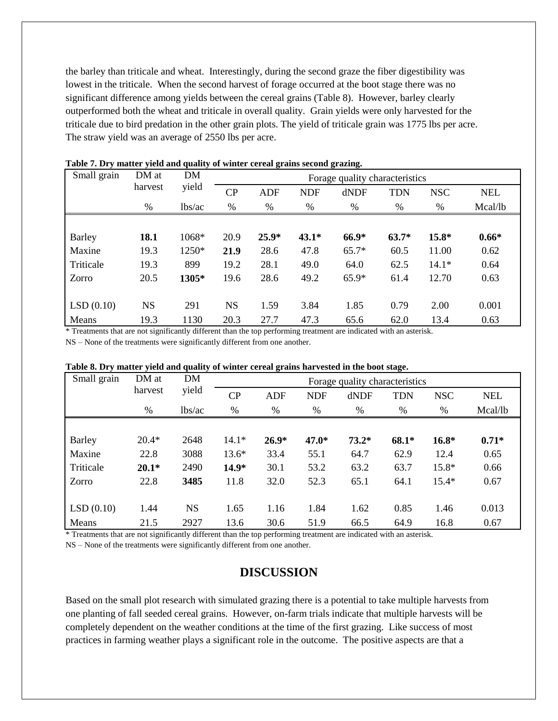the barley than triticale and wheat. Interestingly, during the second graze the fiber digestibility was lowest in the triticale. When the second harvest of forage occurred at the boot stage there was no significant difference among yields between the cereal grains (Table 8). However, barley clearly outperformed both the wheat and triticale in overall quality. Grain yields were only harvested for the triticale due to bird predation in the other grain plots. The yield of triticale grain was 1775 lbs per acre. The straw yield was an average of 2550 lbs per acre.

| Small grain | DM at     | <b>DM</b> | Forage quality characteristics |            |            |         |            |            |            |  |  |  |
|-------------|-----------|-----------|--------------------------------|------------|------------|---------|------------|------------|------------|--|--|--|
|             | harvest   | yield     | $\overline{CP}$                | <b>ADF</b> | <b>NDF</b> | dNDF    | <b>TDN</b> | <b>NSC</b> | <b>NEL</b> |  |  |  |
|             | %         | lbs/ac    | $\%$                           | $\%$       | $\%$       | %       | $\%$       | $\%$       | Mcal/lb    |  |  |  |
|             |           |           |                                |            |            |         |            |            |            |  |  |  |
| Barley      | 18.1      | 1068*     | 20.9                           | $25.9*$    | $43.1*$    | 66.9*   | $63.7*$    | $15.8*$    | $0.66*$    |  |  |  |
| Maxine      | 19.3      | 1250*     | 21.9                           | 28.6       | 47.8       | $65.7*$ | 60.5       | 11.00      | 0.62       |  |  |  |
| Triticale   | 19.3      | 899       | 19.2                           | 28.1       | 49.0       | 64.0    | 62.5       | $14.1*$    | 0.64       |  |  |  |
| Zorro       | 20.5      | 1305*     | 19.6                           | 28.6       | 49.2       | $65.9*$ | 61.4       | 12.70      | 0.63       |  |  |  |
|             |           |           |                                |            |            |         |            |            |            |  |  |  |
| LSD(0.10)   | <b>NS</b> | 291       | <b>NS</b>                      | 1.59       | 3.84       | 1.85    | 0.79       | 2.00       | 0.001      |  |  |  |
| Means       | 19.3      | 1130      | 20.3                           | 27.7       | 47.3       | 65.6    | 62.0       | 13.4       | 0.63       |  |  |  |

#### **Table 7. Dry matter yield and quality of winter cereal grains second grazing.**

\* Treatments that are not significantly different than the top performing treatment are indicated with an asterisk.

NS – None of the treatments were significantly different from one another.

| rush of Dr <sub>y</sub> munch yield and<br>Small grain | DM at   | $y$ where $y$ or $y$ and<br><b>DM</b> | Forage quality characteristics |            |            |         |            |            |            |  |  |  |  |
|--------------------------------------------------------|---------|---------------------------------------|--------------------------------|------------|------------|---------|------------|------------|------------|--|--|--|--|
|                                                        | harvest | yield                                 | CP                             | <b>ADF</b> | <b>NDF</b> | dNDF    | <b>TDN</b> | <b>NSC</b> | <b>NEL</b> |  |  |  |  |
|                                                        | $\%$    | lbs/ac                                | $\%$                           | $\%$       | $\%$       | %       | %          | $\%$       | Mcal/lb    |  |  |  |  |
|                                                        |         |                                       |                                |            |            |         |            |            |            |  |  |  |  |
| Barley                                                 | $20.4*$ | 2648                                  | $14.1*$                        | $26.9*$    | $47.0*$    | $73.2*$ | $68.1*$    | $16.8*$    | $0.71*$    |  |  |  |  |
| Maxine                                                 | 22.8    | 3088                                  | $13.6*$                        | 33.4       | 55.1       | 64.7    | 62.9       | 12.4       | 0.65       |  |  |  |  |
| Triticale                                              | $20.1*$ | 2490                                  | $14.9*$                        | 30.1       | 53.2       | 63.2    | 63.7       | 15.8*      | 0.66       |  |  |  |  |
| Zorro                                                  | 22.8    | 3485                                  | 11.8                           | 32.0       | 52.3       | 65.1    | 64.1       | $15.4*$    | 0.67       |  |  |  |  |
|                                                        |         |                                       |                                |            |            |         |            |            |            |  |  |  |  |
| LSD(0.10)                                              | 1.44    | <b>NS</b>                             | 1.65                           | 1.16       | 1.84       | 1.62    | 0.85       | 1.46       | 0.013      |  |  |  |  |
| Means                                                  | 21.5    | 2927                                  | 13.6                           | 30.6       | 51.9       | 66.5    | 64.9       | 16.8       | 0.67       |  |  |  |  |

| Table 8. Dry matter yield and quality of winter cereal grains harvested in the boot stage. |  |  |  |  |  |  |  |  |  |  |  |  |  |  |  |
|--------------------------------------------------------------------------------------------|--|--|--|--|--|--|--|--|--|--|--|--|--|--|--|
|--------------------------------------------------------------------------------------------|--|--|--|--|--|--|--|--|--|--|--|--|--|--|--|

\* Treatments that are not significantly different than the top performing treatment are indicated with an asterisk.

NS – None of the treatments were significantly different from one another.

# **DISCUSSION**

Based on the small plot research with simulated grazing there is a potential to take multiple harvests from one planting of fall seeded cereal grains. However, on-farm trials indicate that multiple harvests will be completely dependent on the weather conditions at the time of the first grazing. Like success of most practices in farming weather plays a significant role in the outcome. The positive aspects are that a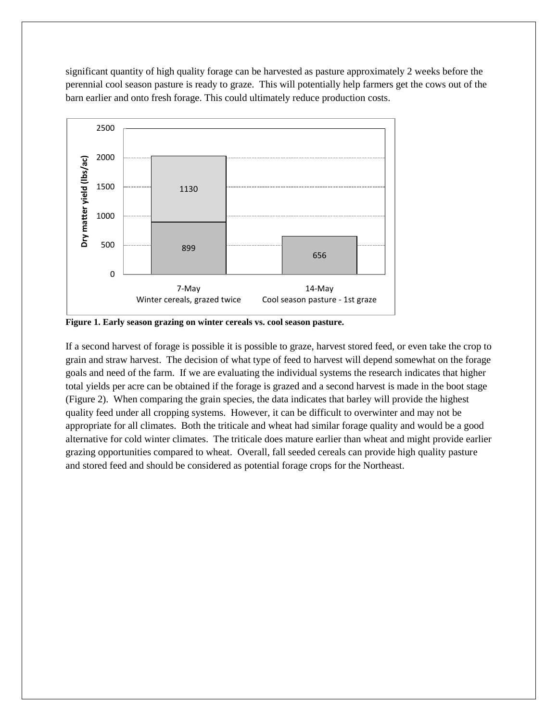significant quantity of high quality forage can be harvested as pasture approximately 2 weeks before the perennial cool season pasture is ready to graze. This will potentially help farmers get the cows out of the barn earlier and onto fresh forage. This could ultimately reduce production costs.



**Figure 1. Early season grazing on winter cereals vs. cool season pasture.**

If a second harvest of forage is possible it is possible to graze, harvest stored feed, or even take the crop to grain and straw harvest. The decision of what type of feed to harvest will depend somewhat on the forage goals and need of the farm. If we are evaluating the individual systems the research indicates that higher total yields per acre can be obtained if the forage is grazed and a second harvest is made in the boot stage (Figure 2). When comparing the grain species, the data indicates that barley will provide the highest quality feed under all cropping systems. However, it can be difficult to overwinter and may not be appropriate for all climates. Both the triticale and wheat had similar forage quality and would be a good alternative for cold winter climates. The triticale does mature earlier than wheat and might provide earlier grazing opportunities compared to wheat. Overall, fall seeded cereals can provide high quality pasture and stored feed and should be considered as potential forage crops for the Northeast.